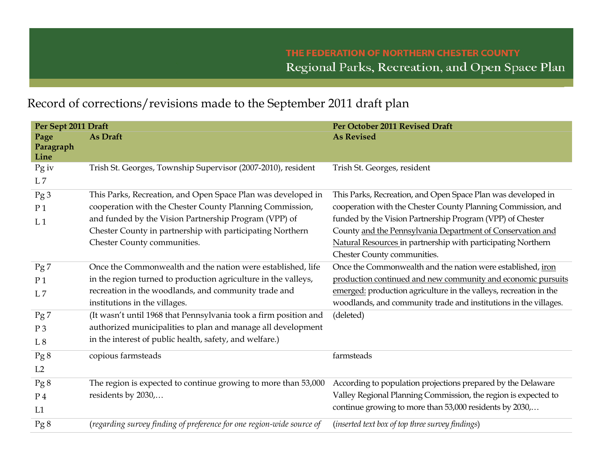## Record of corrections/revisions made to the September 2011 draft plan

| Per Sept 2011 Draft                     |                                                                                                                                                                                                                                                                               | Per October 2011 Revised Draft                                                                                                                                                                                                                                                                                                                         |
|-----------------------------------------|-------------------------------------------------------------------------------------------------------------------------------------------------------------------------------------------------------------------------------------------------------------------------------|--------------------------------------------------------------------------------------------------------------------------------------------------------------------------------------------------------------------------------------------------------------------------------------------------------------------------------------------------------|
| Page<br>Paragraph<br>Line               | As Draft                                                                                                                                                                                                                                                                      | <b>As Revised</b>                                                                                                                                                                                                                                                                                                                                      |
| Pg iv<br>L7                             | Trish St. Georges, Township Supervisor (2007-2010), resident                                                                                                                                                                                                                  | Trish St. Georges, resident                                                                                                                                                                                                                                                                                                                            |
| Pg3<br>P <sub>1</sub><br>L <sub>1</sub> | This Parks, Recreation, and Open Space Plan was developed in<br>cooperation with the Chester County Planning Commission,<br>and funded by the Vision Partnership Program (VPP) of<br>Chester County in partnership with participating Northern<br>Chester County communities. | This Parks, Recreation, and Open Space Plan was developed in<br>cooperation with the Chester County Planning Commission, and<br>funded by the Vision Partnership Program (VPP) of Chester<br>County and the Pennsylvania Department of Conservation and<br>Natural Resources in partnership with participating Northern<br>Chester County communities. |
| Pg7                                     | Once the Commonwealth and the nation were established, life                                                                                                                                                                                                                   | Once the Commonwealth and the nation were established, iron                                                                                                                                                                                                                                                                                            |
| P <sub>1</sub>                          | in the region turned to production agriculture in the valleys,                                                                                                                                                                                                                | production continued and new community and economic pursuits                                                                                                                                                                                                                                                                                           |
| L7                                      | recreation in the woodlands, and community trade and                                                                                                                                                                                                                          | emerged: production agriculture in the valleys, recreation in the                                                                                                                                                                                                                                                                                      |
|                                         | institutions in the villages.                                                                                                                                                                                                                                                 | woodlands, and community trade and institutions in the villages.                                                                                                                                                                                                                                                                                       |
| Pg7                                     | (It wasn't until 1968 that Pennsylvania took a firm position and                                                                                                                                                                                                              | (deleted)                                                                                                                                                                                                                                                                                                                                              |
| P <sub>3</sub>                          | authorized municipalities to plan and manage all development                                                                                                                                                                                                                  |                                                                                                                                                                                                                                                                                                                                                        |
| L8                                      | in the interest of public health, safety, and welfare.)                                                                                                                                                                                                                       |                                                                                                                                                                                                                                                                                                                                                        |
| Pg 8                                    | copious farmsteads                                                                                                                                                                                                                                                            | farmsteads                                                                                                                                                                                                                                                                                                                                             |
| L2                                      |                                                                                                                                                                                                                                                                               |                                                                                                                                                                                                                                                                                                                                                        |
| Pg 8                                    | The region is expected to continue growing to more than 53,000                                                                                                                                                                                                                | According to population projections prepared by the Delaware                                                                                                                                                                                                                                                                                           |
| P <sub>4</sub>                          | residents by 2030,                                                                                                                                                                                                                                                            | Valley Regional Planning Commission, the region is expected to                                                                                                                                                                                                                                                                                         |
| L1                                      |                                                                                                                                                                                                                                                                               | continue growing to more than 53,000 residents by 2030,                                                                                                                                                                                                                                                                                                |
| Pg 8                                    | (regarding survey finding of preference for one region-wide source of                                                                                                                                                                                                         | (inserted text box of top three survey findings)                                                                                                                                                                                                                                                                                                       |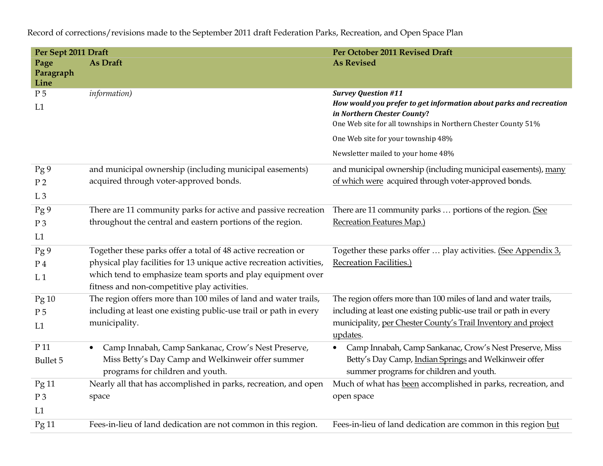**Per Sept 2011 Draft Per October 2011 Revised Draft Page Paragraph Line As Draft As As Revised As Revised As Revised As Revised As Revised As Revised As Revised As Revised As Revised As Revised As Revised As Revised As Revised As Revised As Revised As Revised As Revised As Revised As Revised** P 5  $L1$ *information) Survey Question #11 How would you prefer to get information about parks and recreation in Northern Chester County***?** One Web site for all townships in Northern Chester County 51% One Web site for your township 48% Newsletter mailed to your home 48%Pg 9 P 2  $L.3$ and municipal ownership (including municipal easements) acquired through voter-approved bonds. and municipal ownership (including municipal easements), many of which were acquired through voter-approved bonds. Pg 9 P 3 L1 There are 11 community parks for active and passive recreation throughout the central and eastern portions of the region. There are 11 community parks ... portions of the region. (See Recreation Features Map.)Pg 9 P 4  $L.1$ Together these parks offer a total of 48 active recreation or physical play facilities for 13 unique active recreation activities, which tend to emphasize team sports and play equipment over fitness and non-competitive play activities. Together these parks offer … play activities. (See Appendix 3, Recreation Facilities.)Pg 10 P 5  $L1$ The region offers more than 100 miles of land and water trails, including at least one existing public-use trail or path in every municipality. The region offers more than 100 miles of land and water trails, including at least one existing public-use trail or path in every municipality, per Chester County's Trail Inventory and project updates. P 11 Bullet 5 • Camp Innabah, Camp Sankanac, Crow's Nest Preserve, Miss Betty's Day Camp and Welkinweir offer summer programs for children and youth. • Camp Innabah, Camp Sankanac, Crow's Nest Preserve, Miss Betty's Day Camp, Indian Springs and Welkinweir offer summer programs for children and youth. Pg 11 P 3  $L1$ Nearly all that has accomplished in parks, recreation, and open space Much of what has been accomplished in parks, recreation, and open space Pg 11 Fees-in-lieu of land dedication are not common in this region. Fees-in-lieu of land dedication are common in this region but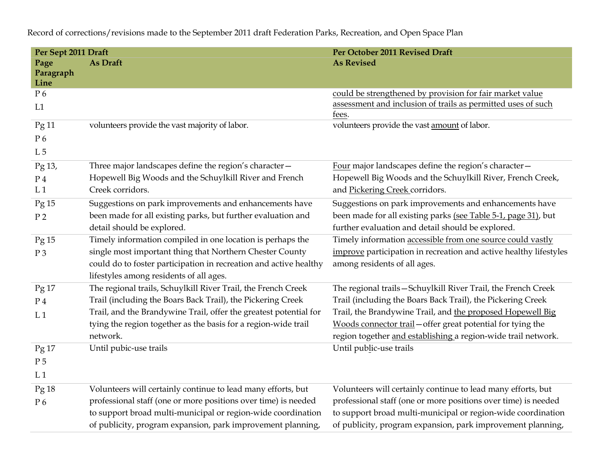**Per Sept 2011 Draft Per October 2011 Revised Draft Page Paragraph Line As Draft As As Revised As Revised As Revised As Revised As Revised As Revised As Revised As Revised As Revised As Revised As Revised As Revised As Revised As Revised As Revised As Revised As Revised As Revised As Revised** P 6 L1 could be strengthened by provision for fair market value assessment and inclusion of trails as permitted uses of such fees. Pg 11 P 6  $L<sub>5</sub>$ volunteers provide the vast majority of labor. volunteers provide the vast amount of labor. Pg 13, P 4  $L<sub>1</sub>$ Three major landscapes define the region's character— Hopewell Big Woods and the Schuylkill River and French Creek corridors. Four major landscapes define the region's character— Hopewell Big Woods and the Schuylkill River, French Creek, and Pickering Creek corridors. Pg 15 P 2 Suggestions on park improvements and enhancements have been made for all existing parks, but further evaluation and detail should be explored. Suggestions on park improvements and enhancements have been made for all existing parks (see Table 5-1, page 31), but further evaluation and detail should be explored. Pg 15 P 3 Timely information compiled in one location is perhaps the single most important thing that Northern Chester County could do to foster participation in recreation and active healthy lifestyles among residents of all ages. Timely information accessible from one source could vastly improve participation in recreation and active healthy lifestylesamong residents of all ages. Pg 17 P 4  $L<sub>1</sub>$ The regional trails, Schuylkill River Trail, the French Creek Trail (including the Boars Back Trail), the Pickering Creek Trail, and the Brandywine Trail, offer the greatest potential for tying the region together as the basis for a region-wide trail network. The regional trails—Schuylkill River Trail, the French Creek Trail (including the Boars Back Trail), the Pickering Creek Trail, the Brandywine Trail, and the proposed Hopewell Big Woods connector trail—offer great potential for tying the region together and establishing a region-wide trail network. Pg 17 P 5  $L<sub>1</sub>$ Until pubic-use trails Until public-use trails Pg 18 P 6 Volunteers will certainly continue to lead many efforts, but professional staff (one or more positions over time) is needed to support broad multi-municipal or region-wide coordination of publicity, program expansion, park improvement planning, Volunteers will certainly continue to lead many efforts, but professional staff (one or more positions over time) is needed to support broad multi-municipal or region-wide coordination of publicity, program expansion, park improvement planning,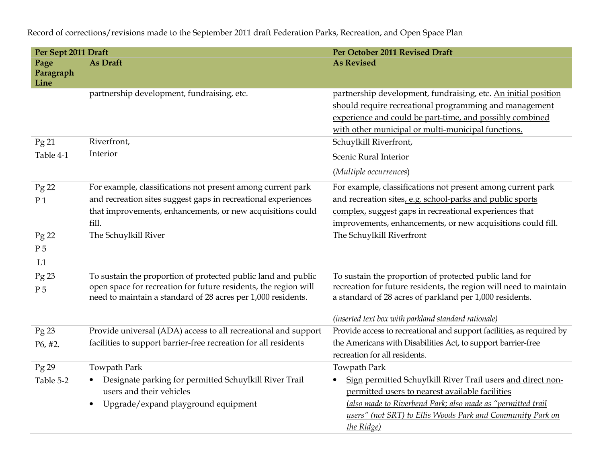**Per Sept 2011 Draft Per October 2011 Revised Draft Page Paragraph Line As Draft As As Revised As Revised As Revised As Revised As Revised As Revised As Revised As Revised As Revised As Revised As Revised As Revised As Revised As Revised As Revised As Revised As Revised As Revised As Revised** partnership development, fundraising, etc. partnership development, fundraising, etc. An initial position should require recreational programming and management experience and could be part-time, and possibly combined with other municipal or multi-municipal functions. Pg 21 Table 4-1 Riverfront, Interior Schuylkill Riverfront, Scenic Rural Interior (*Multiple occurrences*) Pg 22 P 1 For example, classifications not present among current park and recreation sites suggest gaps in recreational experiences that improvements, enhancements, or new acquisitions couldfill. For example, classifications not present among current park and recreation sites, e.g. school-parks and public sports complex, suggest gaps in recreational experiences that improvements, enhancements, or new acquisitions could fill. Pg 22 P 5  $L1$ The Schuylkill River Pg 23 P 5 To sustain the proportion of protected public land and public open space for recreation for future residents, the region will need to maintain a standard of 28 acres per 1,000 residents. To sustain the proportion of protected public land for recreation for future residents, the region will need to maintain a standard of 28 acres of parkland per 1,000 residents. *(inserted text box with parkland standard rationale)*  Pg 23 P6, #2. Provide universal (ADA) access to all recreational and support facilities to support barrier-free recreation for all residents Provide access to recreational and support facilities, as required by the Americans with Disabilities Act, to support barrier-free recreation for all residents. Pg 29 Table 5-2 Towpath Park • Designate parking for permitted Schuylkill River Trail users and their vehicles • Upgrade/expand playground equipment Towpath Park • Sign permitted Schuylkill River Trail users and direct nonpermitted users to nearest available facilities (*also made to Riverbend Park; also made as "permitted trail users" (not SRT) to Ellis Woods Park and Community Park on the Ridge)*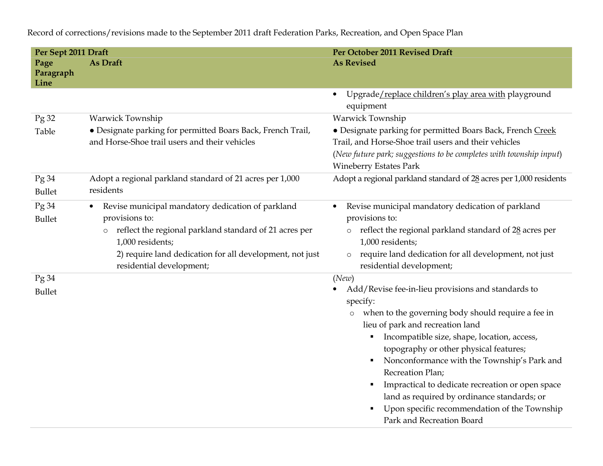| Per Sept 2011 Draft       |                                                                                                                                                                                                                                                                   | Per October 2011 Revised Draft                                                                                                                                                                                                                                                                                                                                                                                                                                                                                                |
|---------------------------|-------------------------------------------------------------------------------------------------------------------------------------------------------------------------------------------------------------------------------------------------------------------|-------------------------------------------------------------------------------------------------------------------------------------------------------------------------------------------------------------------------------------------------------------------------------------------------------------------------------------------------------------------------------------------------------------------------------------------------------------------------------------------------------------------------------|
| Page<br>Paragraph<br>Line | As Draft                                                                                                                                                                                                                                                          | <b>As Revised</b>                                                                                                                                                                                                                                                                                                                                                                                                                                                                                                             |
|                           |                                                                                                                                                                                                                                                                   | Upgrade/replace children's play area with playground<br>$\bullet$<br>equipment                                                                                                                                                                                                                                                                                                                                                                                                                                                |
| Pg 32                     | Warwick Township                                                                                                                                                                                                                                                  | Warwick Township                                                                                                                                                                                                                                                                                                                                                                                                                                                                                                              |
| Table                     | · Designate parking for permitted Boars Back, French Trail,<br>and Horse-Shoe trail users and their vehicles                                                                                                                                                      | · Designate parking for permitted Boars Back, French Creek<br>Trail, and Horse-Shoe trail users and their vehicles<br>(New future park; suggestions to be completes with township input)<br><b>Wineberry Estates Park</b>                                                                                                                                                                                                                                                                                                     |
| Pg34<br><b>Bullet</b>     | Adopt a regional parkland standard of 21 acres per 1,000<br>residents                                                                                                                                                                                             | Adopt a regional parkland standard of 28 acres per 1,000 residents                                                                                                                                                                                                                                                                                                                                                                                                                                                            |
| Pg 34<br><b>Bullet</b>    | Revise municipal mandatory dedication of parkland<br>$\bullet$<br>provisions to:<br>reflect the regional parkland standard of 21 acres per<br>$\circ$<br>1,000 residents;<br>2) require land dedication for all development, not just<br>residential development; | Revise municipal mandatory dedication of parkland<br>$\bullet$<br>provisions to:<br>reflect the regional parkland standard of 28 acres per<br>$\circ$<br>1,000 residents;<br>require land dedication for all development, not just<br>$\circ$<br>residential development;                                                                                                                                                                                                                                                     |
| Pg 34<br><b>Bullet</b>    |                                                                                                                                                                                                                                                                   | (New)<br>Add/Revise fee-in-lieu provisions and standards to<br>specify:<br>when to the governing body should require a fee in<br>$\circ$<br>lieu of park and recreation land<br>Incompatible size, shape, location, access,<br>topography or other physical features;<br>Nonconformance with the Township's Park and<br>٠<br>Recreation Plan;<br>Impractical to dedicate recreation or open space<br>land as required by ordinance standards; or<br>Upon specific recommendation of the Township<br>Park and Recreation Board |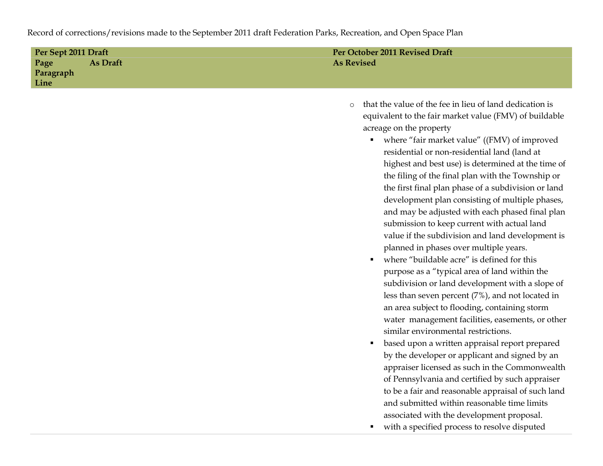| Per Sept 2011 Draft |                 | Per October 2011 Revised Draft |
|---------------------|-----------------|--------------------------------|
| Page                | <b>As Draft</b> | <b>As Revised</b>              |
| Paragraph           |                 |                                |
| Line                |                 |                                |
|                     |                 |                                |

- o that the value of the fee in lieu of land dedication is equivalent to the fair market value (FMV) of buildable acreage on the property
	- where "fair market value" ((FMV) of improved residential or non-residential land (land at highest and best use) is determined at the time of the filing of the final plan with the Township or the first final plan phase of a subdivision or land development plan consisting of multiple phases, and may be adjusted with each phased final plan submission to keep current with actual land value if the subdivision and land development is planned in phases over multiple years.
	- $\mathbf{u}$  . where "buildable acre" is defined for this purpose as a "typical area of land within the subdivision or land development with a slope of less than seven percent (7%), and not located in an area subject to flooding, containing storm water management facilities, easements, or other similar environmental restrictions.
	- based upon a written appraisal report prepared by the developer or applicant and signed by an appraiser licensed as such in the Commonwealth of Pennsylvania and certified by such appraiser to be a fair and reasonable appraisal of such land and submitted within reasonable time limits associated with the development proposal.
	- $\mathbf{u}$  . with a specified process to resolve disputed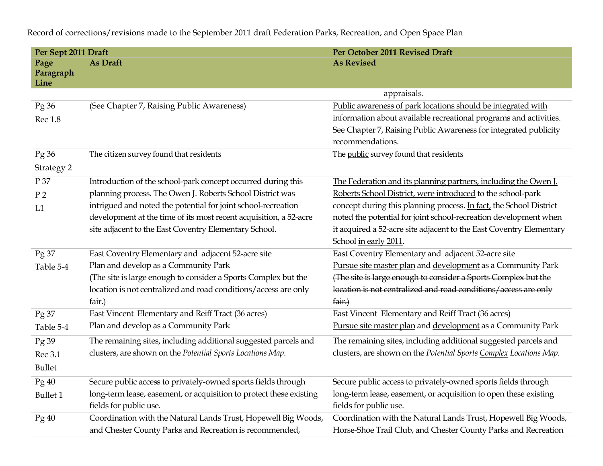**Per Sept 2011 Draft Per October 2011 Revised Draft Page Paragraph Line As Draft As As Revised As Revised As Revised As Revised As Revised As Revised As Revised As Revised As Revised As Revised As Revised As Revised As Revised As Revised As Revised As Revised As Revised As Revised As Revised** appraisals. Pg 36 Rec 1.8 (See Chapter 7, Raising Public Awareness) Public awareness of park locations should be integrated with information about available recreational programs and activities. See Chapter 7, Raising Public Awareness for integrated publicity recommendations.Pg 36 Strategy 2 The citizen survey found that residents The public survey found that residents P 37 P 2  $L1$ Introduction of the school-park concept occurred during this planning process. The Owen J. Roberts School District was intrigued and noted the potential for joint school-recreation development at the time of its most recent acquisition, a 52-acre site adjacent to the East Coventry Elementary School. The Federation and its planning partners, including the Owen J. Roberts School District, were introduced to the school-park concept during this planning process. In fact, the School District noted the potential for joint school-recreation development when it acquired a 52-acre site adjacent to the East Coventry Elementary School in early 2011. Pg 37 Table 5-4 East Coventry Elementary and adjacent 52-acre sitePlan and develop as a Community Park (The site is large enough to consider a Sports Complex but the location is not centralized and road conditions/access are only fair.) East Coventry Elementary and adjacent 52-acre sitePursue site master plan and development as a Community Park (The site is large enough to consider a Sports Complex but the location is not centralized and road conditions/access are only fair.)Pg 37 Table 5-4 East Vincent Elementary and Reiff Tract (36 acres)Plan and develop as a Community Park East Vincent Elementary and Reiff Tract (36 acres)Pursue site master plan and development as a Community Park Pg 39 Rec 3.1 Bullet The remaining sites, including additional suggested parcels and clusters, are shown on the *Potential Sports Locations Map*. The remaining sites, including additional suggested parcels and clusters, are shown on the *Potential Sports Complex Locations Map*. Pg 40 Bullet 1 Secure public access to privately-owned sports fields through long-term lease, easement, or acquisition to protect these existing fields for public use. Secure public access to privately-owned sports fields through long-term lease, easement, or acquisition to open these existing fields for public use. Pg 40 Coordination with the Natural Lands Trust, Hopewell Big Woods, and Chester County Parks and Recreation is recommended, Coordination with the Natural Lands Trust, Hopewell Big Woods, Horse-Shoe Trail Club, and Chester County Parks and Recreation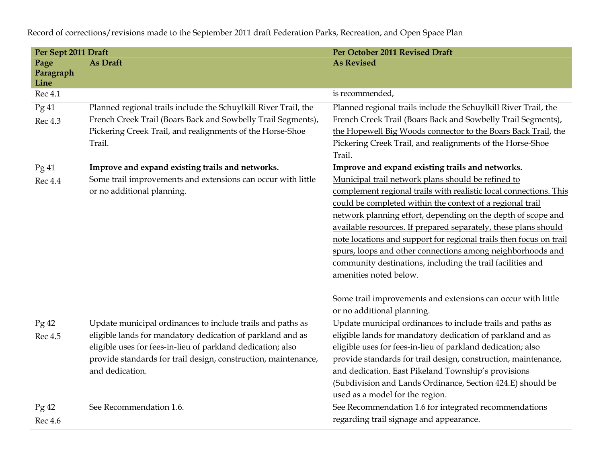| Per Sept 2011 Draft       |                                                                 | Per October 2011 Revised Draft                                                                                                 |
|---------------------------|-----------------------------------------------------------------|--------------------------------------------------------------------------------------------------------------------------------|
| Page<br>Paragraph<br>Line | As Draft                                                        | <b>As Revised</b>                                                                                                              |
| Rec 4.1                   |                                                                 | is recommended,                                                                                                                |
| Pg 41                     | Planned regional trails include the Schuylkill River Trail, the | Planned regional trails include the Schuylkill River Trail, the                                                                |
| Rec 4.3                   | French Creek Trail (Boars Back and Sowbelly Trail Segments),    | French Creek Trail (Boars Back and Sowbelly Trail Segments),                                                                   |
|                           | Pickering Creek Trail, and realignments of the Horse-Shoe       | the Hopewell Big Woods connector to the Boars Back Trail, the                                                                  |
|                           | Trail.                                                          | Pickering Creek Trail, and realignments of the Horse-Shoe                                                                      |
|                           |                                                                 | Trail.                                                                                                                         |
| Pg 41                     | Improve and expand existing trails and networks.                | Improve and expand existing trails and networks.                                                                               |
| <b>Rec 4.4</b>            | Some trail improvements and extensions can occur with little    | Municipal trail network plans should be refined to                                                                             |
|                           | or no additional planning.                                      | complement regional trails with realistic local connections. This<br>could be completed within the context of a regional trail |
|                           |                                                                 | network planning effort, depending on the depth of scope and                                                                   |
|                           |                                                                 | available resources. If prepared separately, these plans should                                                                |
|                           |                                                                 | note locations and support for regional trails then focus on trail                                                             |
|                           |                                                                 | spurs, loops and other connections among neighborhoods and                                                                     |
|                           |                                                                 | community destinations, including the trail facilities and                                                                     |
|                           |                                                                 | amenities noted below.                                                                                                         |
|                           |                                                                 |                                                                                                                                |
|                           |                                                                 | Some trail improvements and extensions can occur with little                                                                   |
|                           |                                                                 | or no additional planning.                                                                                                     |
| Pg42                      | Update municipal ordinances to include trails and paths as      | Update municipal ordinances to include trails and paths as                                                                     |
| Rec 4.5                   | eligible lands for mandatory dedication of parkland and as      | eligible lands for mandatory dedication of parkland and as                                                                     |
|                           | eligible uses for fees-in-lieu of parkland dedication; also     | eligible uses for fees-in-lieu of parkland dedication; also                                                                    |
|                           | provide standards for trail design, construction, maintenance,  | provide standards for trail design, construction, maintenance,                                                                 |
|                           | and dedication.                                                 | and dedication. East Pikeland Township's provisions                                                                            |
|                           |                                                                 | (Subdivision and Lands Ordinance, Section 424.E) should be                                                                     |
|                           |                                                                 | used as a model for the region.                                                                                                |
| Pg42                      | See Recommendation 1.6.                                         | See Recommendation 1.6 for integrated recommendations                                                                          |
| Rec 4.6                   |                                                                 | regarding trail signage and appearance.                                                                                        |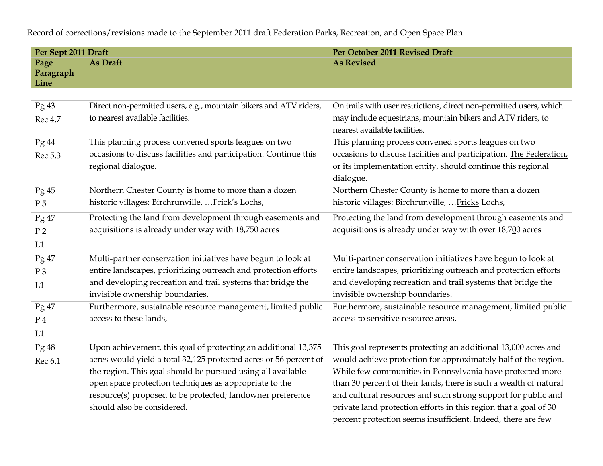**Per Sept 2011 Draft Per October 2011 Revised Draft Page Paragraph Line As Draft As As Revised As Revised As Revised As Revised As Revised As Revised As Revised As Revised As Revised As Revised As Revised As Revised As Revised As Revised As Revised As Revised As Revised As Revised As Revised** Pg 43 Rec 4.7 Direct non-permitted users, e.g., mountain bikers and ATV riders, to nearest available facilities. On trails with user restrictions, direct non-permitted users, which may include equestrians, mountain bikers and ATV riders, to nearest available facilities. Pg 44 Rec 5.3 This planning process convened sports leagues on two occasions to discuss facilities and participation. Continue this regional dialogue. This planning process convened sports leagues on two occasions to discuss facilities and participation. The Federation, or its implementation entity, should continue this regional dialogue. Pg 45 P 5 Northern Chester County is home to more than a dozen historic villages: Birchrunville, …Frick's Lochs, Northern Chester County is home to more than a dozen historic villages: Birchrunville, …Fricks Lochs, Pg 47 P 2  $L1$ Protecting the land from development through easements and acquisitions is already under way with 18,750 acres Protecting the land from development through easements and acquisitions is already under way with over 18,700 acres Pg 47 P 3  $L1$ Multi-partner conservation initiatives have begun to look at entire landscapes, prioritizing outreach and protection efforts and developing recreation and trail systems that bridge the invisible ownership boundaries. Multi-partner conservation initiatives have begun to look at entire landscapes, prioritizing outreach and protection efforts and developing recreation and trail systems <del>that bridge the</del> invisible ownership boundaries. Pg 47 P 4  $L1$ Furthermore, sustainable resource management, limited public access to these lands, Furthermore, sustainable resource management, limited public access to sensitive resource areas, Pg 48 Rec 6.1 Upon achievement, this goal of protecting an additional 13,375 acres would yield a total 32,125 protected acres or 56 percent of the region. This goal should be pursued using all available open space protection techniques as appropriate to the resource(s) proposed to be protected; landowner preference should also be considered. This goal represents protecting an additional 13,000 acres and would achieve protection for approximately half of the region. While few communities in Pennsylvania have protected more than 30 percent of their lands, there is such a wealth of natural and cultural resources and such strong support for public and private land protection efforts in this region that a goal of 30 percent protection seems insufficient. Indeed, there are few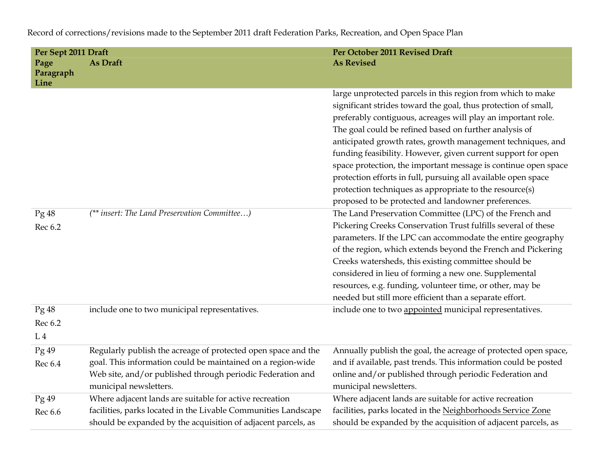| Per Sept 2011 Draft               |                                                                                                                                                                                                                      | Per October 2011 Revised Draft                                                                                                                                                                                                                                                                                                                                                                                                                                                                                                                                                                                                              |
|-----------------------------------|----------------------------------------------------------------------------------------------------------------------------------------------------------------------------------------------------------------------|---------------------------------------------------------------------------------------------------------------------------------------------------------------------------------------------------------------------------------------------------------------------------------------------------------------------------------------------------------------------------------------------------------------------------------------------------------------------------------------------------------------------------------------------------------------------------------------------------------------------------------------------|
| Page<br>Paragraph<br>Line         | As Draft                                                                                                                                                                                                             | <b>As Revised</b>                                                                                                                                                                                                                                                                                                                                                                                                                                                                                                                                                                                                                           |
|                                   |                                                                                                                                                                                                                      | large unprotected parcels in this region from which to make<br>significant strides toward the goal, thus protection of small,<br>preferably contiguous, acreages will play an important role.<br>The goal could be refined based on further analysis of<br>anticipated growth rates, growth management techniques, and<br>funding feasibility. However, given current support for open<br>space protection, the important message is continue open space<br>protection efforts in full, pursuing all available open space<br>protection techniques as appropriate to the resource(s)<br>proposed to be protected and landowner preferences. |
| Pg48<br>Rec 6.2                   | (** insert: The Land Preservation Committee)                                                                                                                                                                         | The Land Preservation Committee (LPC) of the French and<br>Pickering Creeks Conservation Trust fulfills several of these<br>parameters. If the LPC can accommodate the entire geography<br>of the region, which extends beyond the French and Pickering<br>Creeks watersheds, this existing committee should be<br>considered in lieu of forming a new one. Supplemental<br>resources, e.g. funding, volunteer time, or other, may be<br>needed but still more efficient than a separate effort.                                                                                                                                            |
| Pg48<br>Rec 6.2<br>L <sub>4</sub> | include one to two municipal representatives.                                                                                                                                                                        | include one to two appointed municipal representatives.                                                                                                                                                                                                                                                                                                                                                                                                                                                                                                                                                                                     |
| Pg49<br>Rec 6.4                   | Regularly publish the acreage of protected open space and the<br>goal. This information could be maintained on a region-wide<br>Web site, and/or published through periodic Federation and<br>municipal newsletters. | Annually publish the goal, the acreage of protected open space,<br>and if available, past trends. This information could be posted<br>online and/or published through periodic Federation and<br>municipal newsletters.                                                                                                                                                                                                                                                                                                                                                                                                                     |
| Pg49<br>Rec 6.6                   | Where adjacent lands are suitable for active recreation<br>facilities, parks located in the Livable Communities Landscape<br>should be expanded by the acquisition of adjacent parcels, as                           | Where adjacent lands are suitable for active recreation<br>facilities, parks located in the Neighborhoods Service Zone<br>should be expanded by the acquisition of adjacent parcels, as                                                                                                                                                                                                                                                                                                                                                                                                                                                     |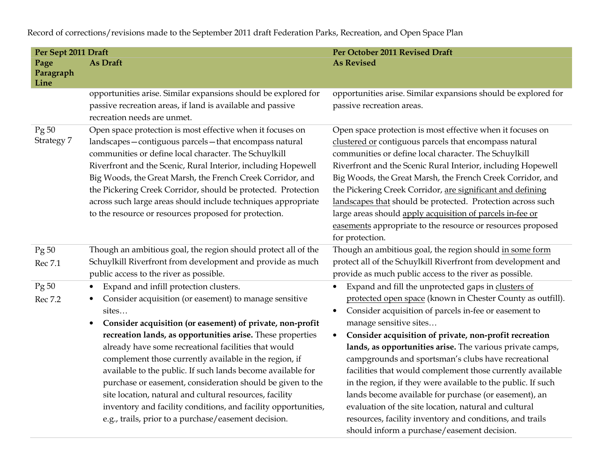**Per Sept 2011 Draft Per October 2011 Revised Draft Page Paragraph Line As Draft As As Revised As Revised As Revised As Revised As Revised As Revised As Revised As Revised As Revised As Revised As Revised As Revised As Revised As Revised As Revised As Revised As Revised As Revised As Revised** opportunities arise. Similar expansions should be explored for passive recreation areas, if land is available and passive recreation needs are unmet. opportunities arise. Similar expansions should be explored for passive recreation areas. Pg 50 Strategy 7 Open space protection is most effective when it focuses on landscapes—contiguous parcels—that encompass natural communities or define local character. The Schuylkill Riverfront and the Scenic, Rural Interior, including HopewellBig Woods, the Great Marsh, the French Creek Corridor, and the Pickering Creek Corridor, should be protected. Protection across such large areas should include techniques appropriate to the resource or resources proposed for protection. Open space protection is most effective when it focuses on clustered or contiguous parcels that encompass natural communities or define local character. The Schuylkill Riverfront and the Scenic Rural Interior, including HopewellBig Woods, the Great Marsh, the French Creek Corridor, and the Pickering Creek Corridor, are significant and defininglandscapes that should be protected. Protection across such large areas should apply acquisition of parcels in-fee or easements appropriate to the resource or resources proposed for protection. Pg 50 Rec 7.1 Though an ambitious goal, the region should protect all of the Schuylkill Riverfront from development and provide as much public access to the river as possible. Though an ambitious goal, the region should in some form protect all of the Schuylkill Riverfront from development and provide as much public access to the river as possible. Pg 50 Rec 7.2 • Expand and infill protection clusters. • Consider acquisition (or easement) to manage sensitive sites… **Consider acquisition (or easement) of private, non-profit**  •**recreation lands, as opportunities arise.** These properties already have some recreational facilities that would complement those currently available in the region, if available to the public. If such lands become available for purchase or easement, consideration should be given to the site location, natural and cultural resources, facility inventory and facility conditions, and facility opportunities, e.g., trails, prior to a purchase/easement decision.  $\bullet$  Expand and fill the unprotected gaps in clusters of protected open space (known in Chester County as outfill).  $\bullet$  Consider acquisition of parcels in-fee or easement to manage sensitive sites… • **Consider acquisition of private, non-profit recreation lands, as opportunities arise.** The various private camps, campgrounds and sportsman's clubs have recreational facilities that would complement those currently availablein the region, if they were available to the public. If such lands become available for purchase (or easement), an evaluation of the site location, natural and cultural resources, facility inventory and conditions, and trails should inform a purchase/easement decision.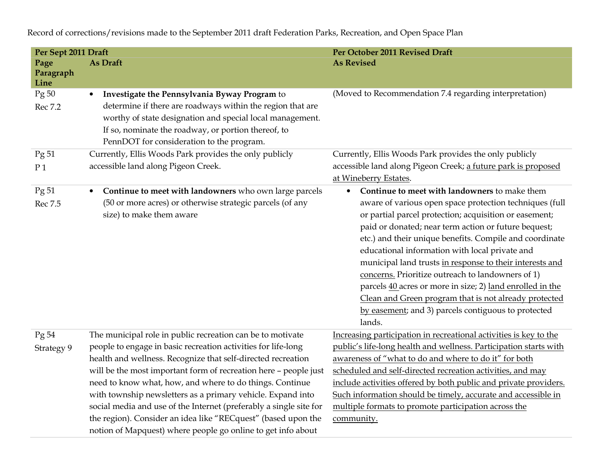| Per Sept 2011 Draft       |                                                                                                                                                                                                                                                                                                                                                                                                                                                                                                                                                                                                   | Per October 2011 Revised Draft                                                                                                                                                                                                                                                                                                                                                                                                                                                                                                                                                                                                                               |
|---------------------------|---------------------------------------------------------------------------------------------------------------------------------------------------------------------------------------------------------------------------------------------------------------------------------------------------------------------------------------------------------------------------------------------------------------------------------------------------------------------------------------------------------------------------------------------------------------------------------------------------|--------------------------------------------------------------------------------------------------------------------------------------------------------------------------------------------------------------------------------------------------------------------------------------------------------------------------------------------------------------------------------------------------------------------------------------------------------------------------------------------------------------------------------------------------------------------------------------------------------------------------------------------------------------|
| Page<br>Paragraph<br>Line | As Draft                                                                                                                                                                                                                                                                                                                                                                                                                                                                                                                                                                                          | <b>As Revised</b>                                                                                                                                                                                                                                                                                                                                                                                                                                                                                                                                                                                                                                            |
| Pg 50<br>Rec 7.2          | Investigate the Pennsylvania Byway Program to<br>$\bullet$<br>determine if there are roadways within the region that are<br>worthy of state designation and special local management.<br>If so, nominate the roadway, or portion thereof, to<br>PennDOT for consideration to the program.                                                                                                                                                                                                                                                                                                         | (Moved to Recommendation 7.4 regarding interpretation)                                                                                                                                                                                                                                                                                                                                                                                                                                                                                                                                                                                                       |
| Pg 51<br>P <sub>1</sub>   | Currently, Ellis Woods Park provides the only publicly<br>accessible land along Pigeon Creek.                                                                                                                                                                                                                                                                                                                                                                                                                                                                                                     | Currently, Ellis Woods Park provides the only publicly<br>accessible land along Pigeon Creek; a future park is proposed<br>at Wineberry Estates.                                                                                                                                                                                                                                                                                                                                                                                                                                                                                                             |
| Pg 51<br>Rec 7.5          | Continue to meet with landowners who own large parcels<br>$\bullet$<br>(50 or more acres) or otherwise strategic parcels (of any<br>size) to make them aware                                                                                                                                                                                                                                                                                                                                                                                                                                      | Continue to meet with landowners to make them<br>$\bullet$<br>aware of various open space protection techniques (full<br>or partial parcel protection; acquisition or easement;<br>paid or donated; near term action or future bequest;<br>etc.) and their unique benefits. Compile and coordinate<br>educational information with local private and<br>municipal land trusts in response to their interests and<br>concerns. Prioritize outreach to landowners of 1)<br>parcels 40 acres or more in size; 2) land enrolled in the<br>Clean and Green program that is not already protected<br>by easement; and 3) parcels contiguous to protected<br>lands. |
| Pg 54<br>Strategy 9       | The municipal role in public recreation can be to motivate<br>people to engage in basic recreation activities for life-long<br>health and wellness. Recognize that self-directed recreation<br>will be the most important form of recreation here - people just<br>need to know what, how, and where to do things. Continue<br>with township newsletters as a primary vehicle. Expand into<br>social media and use of the Internet (preferably a single site for<br>the region). Consider an idea like "RECquest" (based upon the<br>notion of Mapquest) where people go online to get info about | Increasing participation in recreational activities is key to the<br>public's life-long health and wellness. Participation starts with<br>awareness of "what to do and where to do it" for both<br>scheduled and self-directed recreation activities, and may<br>include activities offered by both public and private providers.<br>Such information should be timely, accurate and accessible in<br>multiple formats to promote participation across the<br>community.                                                                                                                                                                                     |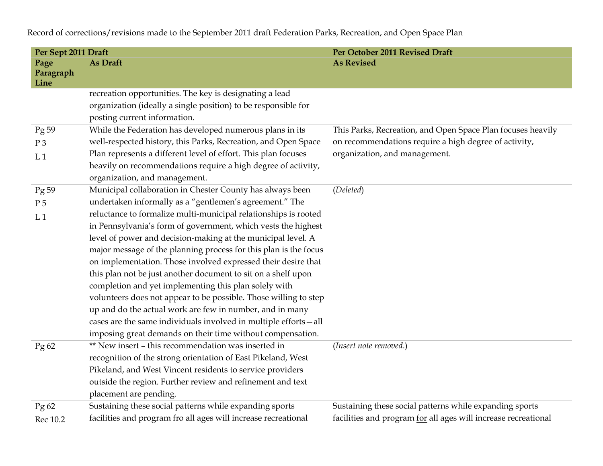**Per Sept 2011 Draft Per October 2011 Revised Draft Page Paragraph Line As Draft As As Revised As Revised As Revised As Revised As Revised As Revised As Revised As Revised As Revised As Revised As Revised As Revised As Revised As Revised As Revised As Revised As Revised As Revised As Revised** recreation opportunities. The key is designating a lead organization (ideally a single position) to be responsible forposting current information. Pg 59 P 3  $L<sub>1</sub>$ While the Federation has developed numerous plans in its well-respected history, this Parks, Recreation, and Open SpacePlan represents a different level of effort. This plan focuses heavily on recommendations require a high degree of activity, organization, and management. This Parks, Recreation, and Open Space Plan focuses heavily on recommendations require a high degree of activity, organization, and management. Pg 59 P 5  $L.1$ Municipal collaboration in Chester County has always been undertaken informally as a "gentlemen's agreement." The reluctance to formalize multi-municipal relationships is rooted in Pennsylvania's form of government, which vests the highest level of power and decision-making at the municipal level. A major message of the planning process for this plan is the focus on implementation. Those involved expressed their desire that this plan not be just another document to sit on a shelf upon completion and yet implementing this plan solely with volunteers does not appear to be possible. Those willing to step up and do the actual work are few in number, and in many cases are the same individuals involved in multiple efforts—allimposing great demands on their time without compensation. (*Deleted*) Pg 62 \*\* New insert – this recommendation was inserted in recognition of the strong orientation of East Pikeland, West Pikeland, and West Vincent residents to service providers outside the region. Further review and refinement and text placement are pending. (*Insert note removed*.) Pg 62 Rec 10.2 Sustaining these social patterns while expanding sports facilities and program fro all ages will increase recreational Sustaining these social patterns while expanding sports facilities and program for all ages will increase recreational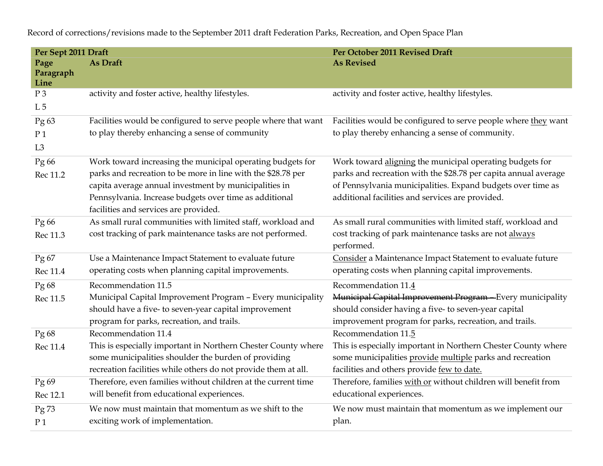**Per Sept 2011 Draft Per October 2011 Revised Draft Page Paragraph Line As Draft As As Revised As Revised As Revised As Revised As Revised As Revised As Revised As Revised As Revised As Revised As Revised As Revised As Revised As Revised As Revised As Revised As Revised As Revised As Revised** P 3 L 5 activity and foster active, healthy lifestyles.  $\qquad \qquad$  activity and foster active, healthy lifestyles. Pg 63 P 1  $L<sub>3</sub>$ Facilities would be configured to serve people where that want to play thereby enhancing a sense of community Facilities would be configured to serve people where they want to play thereby enhancing a sense of community. Pg 66 Rec 11.2 Work toward increasing the municipal operating budgets for parks and recreation to be more in line with the \$28.78 per capita average annual investment by municipalities in Pennsylvania. Increase budgets over time as additional facilities and services are provided. Work toward aligning the municipal operating budgets for parks and recreation with the \$28.78 per capita annual average of Pennsylvania municipalities. Expand budgets over time as additional facilities and services are provided. Pg 66 Rec 11.3 As small rural communities with limited staff, workload and cost tracking of park maintenance tasks are not performed. As small rural communities with limited staff, workload and cost tracking of park maintenance tasks are not alwaysperformed. Pg 67 Rec 11.4 Use a Maintenance Impact Statement to evaluate future operating costs when planning capital improvements. Consider a Maintenance Impact Statement to evaluate future operating costs when planning capital improvements. Pg 68 Rec 11.5 Recommendation 11.5 Municipal Capital Improvement Program – Every municipality should have a five- to seven-year capital improvement program for parks, recreation, and trails. Recommendation 11.4M<del>unicipal Capital Improvement Program – E</del>very municipality should consider having a five- to seven-year capital improvement program for parks, recreation, and trails. Pg 68 Rec 11.4 Recommendation 11.4 This is especially important in Northern Chester County where some municipalities shoulder the burden of providing recreation facilities while others do not provide them at all. Recommendation 11.5 This is especially important in Northern Chester County where some municipalities provide multiple parks and recreation facilities and others provide few to date. Pg 69 Rec 12.1 Therefore, even families without children at the current timewill benefit from educational experiences. Therefore, families with or without children will benefit from educational experiences. Pg 73 P 1 We now must maintain that momentum as we shift to the exciting work of implementation. We now must maintain that momentum as we implement our plan.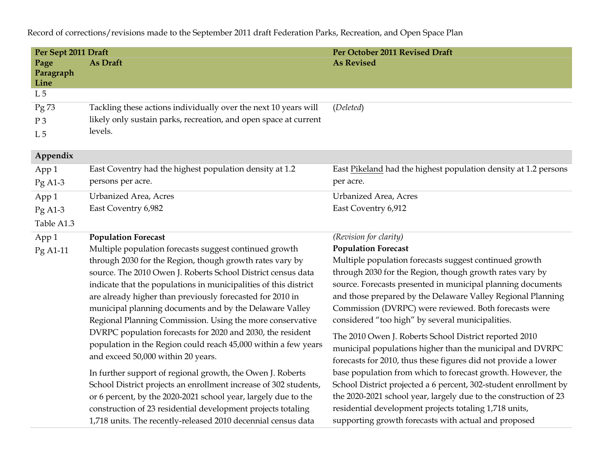| Per Sept 2011 Draft       |                                                                  | Per October 2011 Revised Draft                                   |
|---------------------------|------------------------------------------------------------------|------------------------------------------------------------------|
| Page<br>Paragraph<br>Line | As Draft                                                         | <b>As Revised</b>                                                |
| L <sub>5</sub>            |                                                                  |                                                                  |
| Pg 73                     | Tackling these actions individually over the next 10 years will  | (Deleted)                                                        |
| $P_3$                     | likely only sustain parks, recreation, and open space at current |                                                                  |
| L <sub>5</sub>            | levels.                                                          |                                                                  |
| Appendix                  |                                                                  |                                                                  |
| App 1                     | East Coventry had the highest population density at 1.2          | East Pikeland had the highest population density at 1.2 persons  |
| $PgA1-3$                  | persons per acre.                                                | per acre.                                                        |
| App 1                     | <b>Urbanized Area</b> , Acres                                    | <b>Urbanized Area, Acres</b>                                     |
| $PgA1-3$                  | East Coventry 6,982                                              | East Coventry 6,912                                              |
| Table A1.3                |                                                                  |                                                                  |
| App 1                     | <b>Population Forecast</b>                                       | (Revision for clarity)                                           |
| Pg A1-11                  | Multiple population forecasts suggest continued growth           | <b>Population Forecast</b>                                       |
|                           | through 2030 for the Region, though growth rates vary by         | Multiple population forecasts suggest continued growth           |
|                           | source. The 2010 Owen J. Roberts School District census data     | through 2030 for the Region, though growth rates vary by         |
|                           | indicate that the populations in municipalities of this district | source. Forecasts presented in municipal planning documents      |
|                           | are already higher than previously forecasted for 2010 in        | and those prepared by the Delaware Valley Regional Planning      |
|                           | municipal planning documents and by the Delaware Valley          | Commission (DVRPC) were reviewed. Both forecasts were            |
|                           | Regional Planning Commission. Using the more conservative        | considered "too high" by several municipalities.                 |
|                           | DVRPC population forecasts for 2020 and 2030, the resident       | The 2010 Owen J. Roberts School District reported 2010           |
|                           | population in the Region could reach 45,000 within a few years   | municipal populations higher than the municipal and DVRPC        |
|                           | and exceed 50,000 within 20 years.                               | forecasts for 2010, thus these figures did not provide a lower   |
|                           | In further support of regional growth, the Owen J. Roberts       | base population from which to forecast growth. However, the      |
|                           | School District projects an enrollment increase of 302 students, | School District projected a 6 percent, 302-student enrollment by |
|                           | or 6 percent, by the 2020-2021 school year, largely due to the   | the 2020-2021 school year, largely due to the construction of 23 |
|                           | construction of 23 residential development projects totaling     | residential development projects totaling 1,718 units,           |
|                           | 1,718 units. The recently-released 2010 decennial census data    | supporting growth forecasts with actual and proposed             |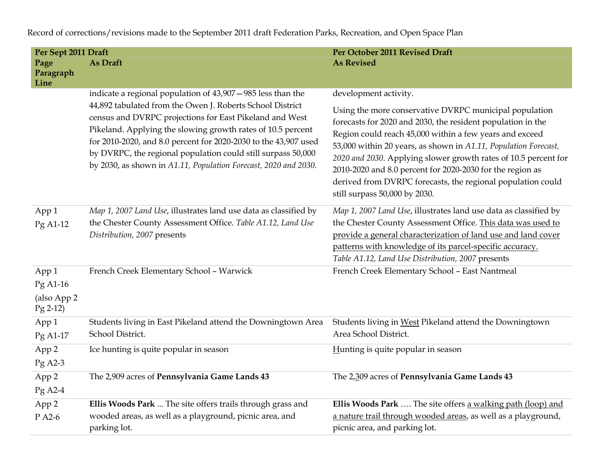| Per Sept 2011 Draft     |                                                                                                                                                                                                                                                                                                                                                                                           | Per October 2011 Revised Draft                                                                                                                                                                                                                                                                                                                                                                                                                                                      |
|-------------------------|-------------------------------------------------------------------------------------------------------------------------------------------------------------------------------------------------------------------------------------------------------------------------------------------------------------------------------------------------------------------------------------------|-------------------------------------------------------------------------------------------------------------------------------------------------------------------------------------------------------------------------------------------------------------------------------------------------------------------------------------------------------------------------------------------------------------------------------------------------------------------------------------|
| Page                    | As Draft                                                                                                                                                                                                                                                                                                                                                                                  | <b>As Revised</b>                                                                                                                                                                                                                                                                                                                                                                                                                                                                   |
| Paragraph<br>Line       |                                                                                                                                                                                                                                                                                                                                                                                           |                                                                                                                                                                                                                                                                                                                                                                                                                                                                                     |
|                         | indicate a regional population of 43,907 - 985 less than the                                                                                                                                                                                                                                                                                                                              | development activity.                                                                                                                                                                                                                                                                                                                                                                                                                                                               |
|                         | 44,892 tabulated from the Owen J. Roberts School District<br>census and DVRPC projections for East Pikeland and West<br>Pikeland. Applying the slowing growth rates of 10.5 percent<br>for 2010-2020, and 8.0 percent for 2020-2030 to the 43,907 used<br>by DVRPC, the regional population could still surpass 50,000<br>by 2030, as shown in A1.11, Population Forecast, 2020 and 2030. | Using the more conservative DVRPC municipal population<br>forecasts for 2020 and 2030, the resident population in the<br>Region could reach 45,000 within a few years and exceed<br>53,000 within 20 years, as shown in A1.11, Population Forecast,<br>2020 and 2030. Applying slower growth rates of 10.5 percent for<br>2010-2020 and 8.0 percent for 2020-2030 for the region as<br>derived from DVRPC forecasts, the regional population could<br>still surpass 50,000 by 2030. |
| App 1<br>Pg A1-12       | Map 1, 2007 Land Use, illustrates land use data as classified by<br>the Chester County Assessment Office. Table A1.12, Land Use<br>Distribution, 2007 presents                                                                                                                                                                                                                            | Map 1, 2007 Land Use, illustrates land use data as classified by<br>the Chester County Assessment Office. This data was used to<br>provide a general characterization of land use and land cover<br>patterns with knowledge of its parcel-specific accuracy.<br>Table A1.12, Land Use Distribution, 2007 presents                                                                                                                                                                   |
| App 1                   | French Creek Elementary School - Warwick                                                                                                                                                                                                                                                                                                                                                  | French Creek Elementary School - East Nantmeal                                                                                                                                                                                                                                                                                                                                                                                                                                      |
| Pg A1-16                |                                                                                                                                                                                                                                                                                                                                                                                           |                                                                                                                                                                                                                                                                                                                                                                                                                                                                                     |
| (also App 2<br>Pg 2-12) |                                                                                                                                                                                                                                                                                                                                                                                           |                                                                                                                                                                                                                                                                                                                                                                                                                                                                                     |
| App 1                   | Students living in East Pikeland attend the Downingtown Area                                                                                                                                                                                                                                                                                                                              | Students living in West Pikeland attend the Downingtown                                                                                                                                                                                                                                                                                                                                                                                                                             |
| Pg A1-17                | School District.                                                                                                                                                                                                                                                                                                                                                                          | Area School District.                                                                                                                                                                                                                                                                                                                                                                                                                                                               |
| App 2                   | Ice hunting is quite popular in season                                                                                                                                                                                                                                                                                                                                                    | Hunting is quite popular in season                                                                                                                                                                                                                                                                                                                                                                                                                                                  |
| Pg A2-3                 |                                                                                                                                                                                                                                                                                                                                                                                           |                                                                                                                                                                                                                                                                                                                                                                                                                                                                                     |
| App 2<br>Pg A2-4        | The 2,909 acres of Pennsylvania Game Lands 43                                                                                                                                                                                                                                                                                                                                             | The 2,309 acres of Pennsylvania Game Lands 43                                                                                                                                                                                                                                                                                                                                                                                                                                       |
| App 2                   | Ellis Woods Park  The site offers trails through grass and                                                                                                                                                                                                                                                                                                                                | Ellis Woods Park  The site offers a walking path (loop) and                                                                                                                                                                                                                                                                                                                                                                                                                         |
| P A2-6                  | wooded areas, as well as a playground, picnic area, and<br>parking lot.                                                                                                                                                                                                                                                                                                                   | a nature trail through wooded areas, as well as a playground,<br>picnic area, and parking lot.                                                                                                                                                                                                                                                                                                                                                                                      |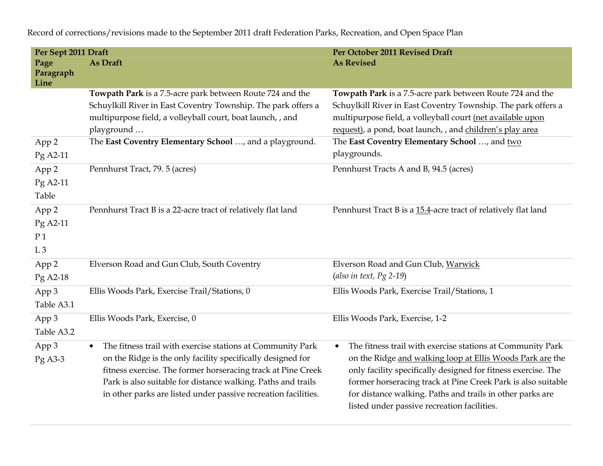**Per Sept 2011 Draft Per Sept 2011 Revised Draft Page Paragraph Line As Draft As As Revised As Revised As Revised As Revised As Revised As Revised As Revised As Revised As Revised As Revised As Revised As Revised As Revised As Revised As Revised As Revised As Revised As Revised As Revised Towpath Park** is a 7.5-acre park between Route 724 and the Schuylkill River in East Coventry Township. The park offers a multipurpose field, a volleyball court, boat launch, , and playground … **Towpath Park** is a 7.5-acre park between Route 724 and the Schuylkill River in East Coventry Township. The park offers a multipurpose field, a volleyball court (net available upon request), a pond, boat launch, , and children's play areaApp 2 Pg A2-11 The **East Coventry Elementary School** …, and a playground. The **East Coventry Elementary School** …, and twoplaygrounds. App 2 Pg A2-11 Table Pennhurst Tract, 79. 5 (acres) Pennhurst Tracts A and B, 94.5 (acres) App 2 Pg A2-11 P 1  $L<sub>3</sub>$ Pennhurst Tract B is a 22-acre tract of relatively flat land Pennhurst Tract B is a 15.4-acre tract of relatively flat land App 2 Pg A2-18 Elverson Road and Gun Club, South Coventry Elverson Road and Gun Club, Warwick(*also in text, Pg 2-19*) App 3 Table A3.1 Ellis Woods Park, Exercise Trail/Stations, 0 Ellis Woods Park, Exercise Trail/Stations, 1 App 3 Table A3.2 Ellis Woods Park, Exercise, 0 Ellis Woods Park, Exercise, 1-2 App 3 Pg A3-3  $\bullet$  The fitness trail with exercise stations at Community Park on the Ridge is the only facility specifically designed for fitness exercise. The former horseracing track at Pine Creek Park is also suitable for distance walking. Paths and trails in other parks are listed under passive recreation facilities. • The fitness trail with exercise stations at Community Park on the Ridge and walking loop at Ellis Woods Park are the only facility specifically designed for fitness exercise. The former horseracing track at Pine Creek Park is also suitable for distance walking. Paths and trails in other parks are listed under passive recreation facilities.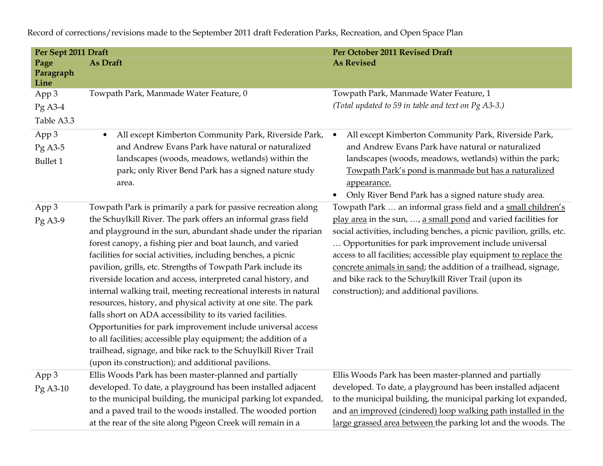**Per Sept 2011 Draft Per October 2011 Revised Draft Page Paragraph Line As Draft As As Revised As Revised As Revised As Revised As Revised As Revised As Revised As Revised As Revised As Revised As Revised As Revised As Revised As Revised As Revised As Revised As Revised As Revised As Revised** App 3 Pg A3-4 Table A3.3 Towpath Park, Manmade Water Feature, 0 Towpath Park, Manmade Water Feature, 1 *(Total updated to 59 in table and text on Pg A3-3.)*  App 3 Pg A3-5 Bullet 1 • All except Kimberton Community Park, Riverside Park, and Andrew Evans Park have natural or naturalized landscapes (woods, meadows, wetlands) within the park; only River Bend Park has a signed nature study area. • All except Kimberton Community Park, Riverside Park, and Andrew Evans Park have natural or naturalized landscapes (woods, meadows, wetlands) within the park; Towpath Park's pond is manmade but has a naturalized appearance. • Only River Bend Park has a signed nature study area. App 3 Pg A3-9 Towpath Park is primarily a park for passive recreation along the Schuylkill River. The park offers an informal grass field and playground in the sun, abundant shade under the riparian forest canopy, a fishing pier and boat launch, and varied facilities for social activities, including benches, a picnicpavilion, grills, etc. Strengths of Towpath Park include its riverside location and access, interpreted canal history, and internal walking trail, meeting recreational interests in natural resources, history, and physical activity at one site. The park falls short on ADA accessibility to its varied facilities. Opportunities for park improvement include universal accessto all facilities; accessible play equipment; the addition of a trailhead, signage, and bike rack to the Schuylkill River Trail (upon its construction); and additional pavilions. Towpath Park … an informal grass field and a small children's play area in the sun, …, a small pond and varied facilities for social activities, including benches, a picnic pavilion, grills, etc. … Opportunities for park improvement include universal access to all facilities; accessible play equipment to replace the concrete animals in sand; the addition of a trailhead, signage, and bike rack to the Schuylkill River Trail (upon its construction); and additional pavilions. App 3 Pg A3-10 Ellis Woods Park has been master-planned and partially developed. To date, a playground has been installed adjacent to the municipal building, the municipal parking lot expanded, and a paved trail to the woods installed. The wooded portion at the rear of the site along Pigeon Creek will remain in a Ellis Woods Park has been master-planned and partially developed. To date, a playground has been installed adjacent to the municipal building, the municipal parking lot expanded, and an improved (cindered) loop walking path installed in the large grassed area between the parking lot and the woods. The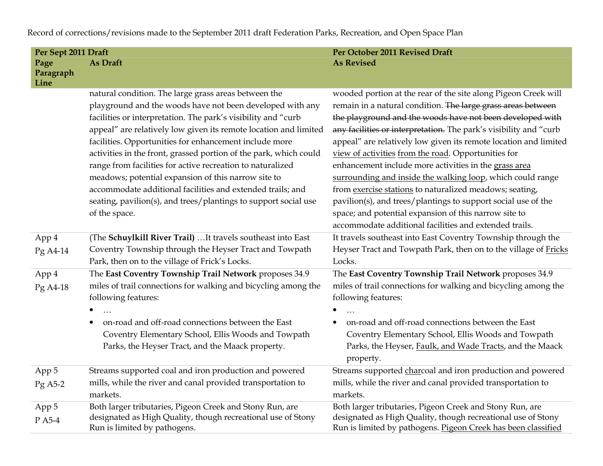| Per Sept 2011 Draft       |                                                                                                                                                                                                                                                                                                                                                                                                                                                                                                                                                                                                                                                              | Per October 2011 Revised Draft                                                                                                                                                                                                                                                                                                                                                                                                                                                                                                                                                                                                                                                                                                                                    |
|---------------------------|--------------------------------------------------------------------------------------------------------------------------------------------------------------------------------------------------------------------------------------------------------------------------------------------------------------------------------------------------------------------------------------------------------------------------------------------------------------------------------------------------------------------------------------------------------------------------------------------------------------------------------------------------------------|-------------------------------------------------------------------------------------------------------------------------------------------------------------------------------------------------------------------------------------------------------------------------------------------------------------------------------------------------------------------------------------------------------------------------------------------------------------------------------------------------------------------------------------------------------------------------------------------------------------------------------------------------------------------------------------------------------------------------------------------------------------------|
| Page<br>Paragraph<br>Line | As Draft                                                                                                                                                                                                                                                                                                                                                                                                                                                                                                                                                                                                                                                     | <b>As Revised</b>                                                                                                                                                                                                                                                                                                                                                                                                                                                                                                                                                                                                                                                                                                                                                 |
|                           | natural condition. The large grass areas between the<br>playground and the woods have not been developed with any<br>facilities or interpretation. The park's visibility and "curb<br>appeal" are relatively low given its remote location and limited<br>facilities. Opportunities for enhancement include more<br>activities in the front, grassed portion of the park, which could<br>range from facilities for active recreation to naturalized<br>meadows; potential expansion of this narrow site to<br>accommodate additional facilities and extended trails; and<br>seating, pavilion(s), and trees/plantings to support social use<br>of the space. | wooded portion at the rear of the site along Pigeon Creek will<br>remain in a natural condition. The large grass areas between<br>the playground and the woods have not been developed with<br>any facilities or interpretation. The park's visibility and "curb<br>appeal" are relatively low given its remote location and limited<br>view of activities from the road. Opportunities for<br>enhancement include more activities in the grass area<br>surrounding and inside the walking loop, which could range<br>from exercise stations to naturalized meadows; seating,<br>pavilion(s), and trees/plantings to support social use of the<br>space; and potential expansion of this narrow site to<br>accommodate additional facilities and extended trails. |
| App 4<br>Pg A4-14         | (The Schuylkill River Trail)  It travels southeast into East<br>Coventry Township through the Heyser Tract and Towpath<br>Park, then on to the village of Frick's Locks.                                                                                                                                                                                                                                                                                                                                                                                                                                                                                     | It travels southeast into East Coventry Township through the<br>Heyser Tract and Towpath Park, then on to the village of Fricks<br>Locks.                                                                                                                                                                                                                                                                                                                                                                                                                                                                                                                                                                                                                         |
| App 4<br>Pg A4-18         | The East Coventry Township Trail Network proposes 34.9<br>miles of trail connections for walking and bicycling among the<br>following features:<br>$\dddotsc$<br>$\bullet$<br>on-road and off-road connections between the East<br>Coventry Elementary School, Ellis Woods and Towpath<br>Parks, the Heyser Tract, and the Maack property.                                                                                                                                                                                                                                                                                                                   | The East Coventry Township Trail Network proposes 34.9<br>miles of trail connections for walking and bicycling among the<br>following features:<br>٠<br>on-road and off-road connections between the East<br>Coventry Elementary School, Ellis Woods and Towpath<br>Parks, the Heyser, Faulk, and Wade Tracts, and the Maack<br>property.                                                                                                                                                                                                                                                                                                                                                                                                                         |
| App 5<br>$Pg$ A5-2        | Streams supported coal and iron production and powered<br>mills, while the river and canal provided transportation to<br>markets.                                                                                                                                                                                                                                                                                                                                                                                                                                                                                                                            | Streams supported charcoal and iron production and powered<br>mills, while the river and canal provided transportation to<br>markets.                                                                                                                                                                                                                                                                                                                                                                                                                                                                                                                                                                                                                             |
| App 5<br>P A5-4           | Both larger tributaries, Pigeon Creek and Stony Run, are<br>designated as High Quality, though recreational use of Stony<br>Run is limited by pathogens.                                                                                                                                                                                                                                                                                                                                                                                                                                                                                                     | Both larger tributaries, Pigeon Creek and Stony Run, are<br>designated as High Quality, though recreational use of Stony<br>Run is limited by pathogens. Pigeon Creek has been classified                                                                                                                                                                                                                                                                                                                                                                                                                                                                                                                                                                         |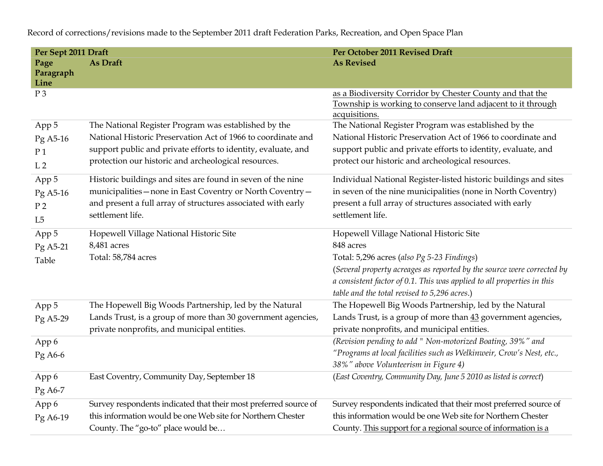| Per Sept 2011 Draft       |                                                                  | Per October 2011 Revised Draft                                                                                                                   |
|---------------------------|------------------------------------------------------------------|--------------------------------------------------------------------------------------------------------------------------------------------------|
| Page<br>Paragraph<br>Line | As Draft                                                         | <b>As Revised</b>                                                                                                                                |
| $P_3$                     |                                                                  | as a Biodiversity Corridor by Chester County and that the<br>Township is working to conserve land adjacent to it through<br>acquisitions.        |
| App 5                     | The National Register Program was established by the             | The National Register Program was established by the                                                                                             |
| Pg A5-16                  | National Historic Preservation Act of 1966 to coordinate and     | National Historic Preservation Act of 1966 to coordinate and                                                                                     |
| P <sub>1</sub>            | support public and private efforts to identity, evaluate, and    | support public and private efforts to identity, evaluate, and                                                                                    |
| L <sub>2</sub>            | protection our historic and archeological resources.             | protect our historic and archeological resources.                                                                                                |
| App 5                     | Historic buildings and sites are found in seven of the nine      | Individual National Register-listed historic buildings and sites                                                                                 |
| Pg A5-16                  | municipalities - none in East Coventry or North Coventry -       | in seven of the nine municipalities (none in North Coventry)                                                                                     |
| P <sub>2</sub>            | and present a full array of structures associated with early     | present a full array of structures associated with early                                                                                         |
| L <sub>5</sub>            | settlement life.                                                 | settlement life.                                                                                                                                 |
| App 5                     | Hopewell Village National Historic Site                          | Hopewell Village National Historic Site                                                                                                          |
| Pg A5-21                  | 8,481 acres                                                      | 848 acres                                                                                                                                        |
| Table                     | Total: 58,784 acres                                              | Total: 5,296 acres (also Pg 5-23 Findings)                                                                                                       |
|                           |                                                                  | (Several property acreages as reported by the source were corrected by<br>a consistent factor of 0.1. This was applied to all properties in this |
|                           |                                                                  | table and the total revised to 5,296 acres.)                                                                                                     |
| App 5                     | The Hopewell Big Woods Partnership, led by the Natural           | The Hopewell Big Woods Partnership, led by the Natural                                                                                           |
| Pg A5-29                  | Lands Trust, is a group of more than 30 government agencies,     | Lands Trust, is a group of more than 43 government agencies,                                                                                     |
|                           | private nonprofits, and municipal entities.                      | private nonprofits, and municipal entities.                                                                                                      |
| App 6                     |                                                                  | (Revision pending to add " Non-motorized Boating, 39%" and                                                                                       |
| Pg A6-6                   |                                                                  | "Programs at local facilities such as Welkinweir, Crow's Nest, etc.,<br>38%" above Volunteerism in Figure 4)                                     |
| App 6                     | East Coventry, Community Day, September 18                       | (East Coventry, Community Day, June 5 2010 as listed is correct)                                                                                 |
| Pg A6-7                   |                                                                  |                                                                                                                                                  |
| App 6                     | Survey respondents indicated that their most preferred source of | Survey respondents indicated that their most preferred source of                                                                                 |
| Pg A6-19                  | this information would be one Web site for Northern Chester      | this information would be one Web site for Northern Chester                                                                                      |
|                           | County. The "go-to" place would be                               | County. This support for a regional source of information is a                                                                                   |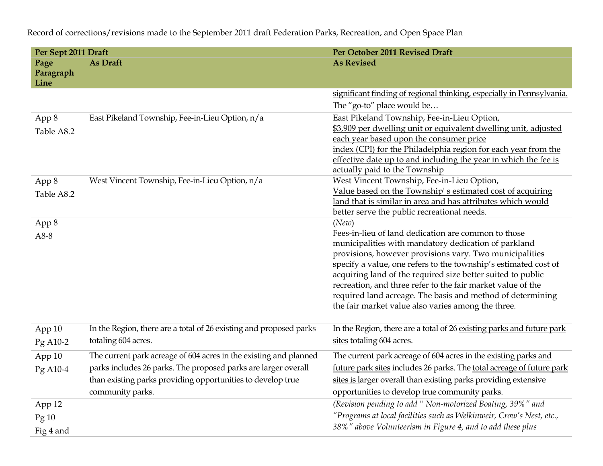| Per Sept 2011 Draft       |                                                                    | Per October 2011 Revised Draft                                                                                                    |
|---------------------------|--------------------------------------------------------------------|-----------------------------------------------------------------------------------------------------------------------------------|
| Page<br>Paragraph<br>Line | As Draft                                                           | <b>As Revised</b>                                                                                                                 |
|                           |                                                                    | significant finding of regional thinking, especially in Pennsylvania.                                                             |
|                           |                                                                    | The "go-to" place would be                                                                                                        |
| App 8                     | East Pikeland Township, Fee-in-Lieu Option, n/a                    | East Pikeland Township, Fee-in-Lieu Option,                                                                                       |
| Table A8.2                |                                                                    | \$3,909 per dwelling unit or equivalent dwelling unit, adjusted                                                                   |
|                           |                                                                    | each year based upon the consumer price                                                                                           |
|                           |                                                                    | index (CPI) for the Philadelphia region for each year from the<br>effective date up to and including the year in which the fee is |
|                           |                                                                    | actually paid to the Township                                                                                                     |
| App 8                     | West Vincent Township, Fee-in-Lieu Option, n/a                     | West Vincent Township, Fee-in-Lieu Option,                                                                                        |
| Table A8.2                |                                                                    | Value based on the Township's estimated cost of acquiring                                                                         |
|                           |                                                                    | land that is similar in area and has attributes which would                                                                       |
|                           |                                                                    | better serve the public recreational needs.                                                                                       |
| App 8                     |                                                                    | (New)                                                                                                                             |
| A8-8                      |                                                                    | Fees-in-lieu of land dedication are common to those<br>municipalities with mandatory dedication of parkland                       |
|                           |                                                                    | provisions, however provisions vary. Two municipalities                                                                           |
|                           |                                                                    | specify a value, one refers to the township's estimated cost of                                                                   |
|                           |                                                                    | acquiring land of the required size better suited to public                                                                       |
|                           |                                                                    | recreation, and three refer to the fair market value of the                                                                       |
|                           |                                                                    | required land acreage. The basis and method of determining                                                                        |
|                           |                                                                    | the fair market value also varies among the three.                                                                                |
| App 10                    | In the Region, there are a total of 26 existing and proposed parks | In the Region, there are a total of 26 existing parks and future park                                                             |
| Pg A10-2                  | totaling 604 acres.                                                | sites totaling 604 acres.                                                                                                         |
| App 10                    | The current park acreage of 604 acres in the existing and planned  | The current park acreage of 604 acres in the existing parks and                                                                   |
| Pg A10-4                  | parks includes 26 parks. The proposed parks are larger overall     | future park sites includes 26 parks. The total acreage of future park                                                             |
|                           | than existing parks providing opportunities to develop true        | sites is larger overall than existing parks providing extensive                                                                   |
|                           | community parks.                                                   | opportunities to develop true community parks.                                                                                    |
| App 12                    |                                                                    | (Revision pending to add " Non-motorized Boating, 39%" and                                                                        |
| Pg10                      |                                                                    | "Programs at local facilities such as Welkinweir, Crow's Nest, etc.,                                                              |
| Fig 4 and                 |                                                                    | 38%" above Volunteerism in Figure 4, and to add these plus                                                                        |